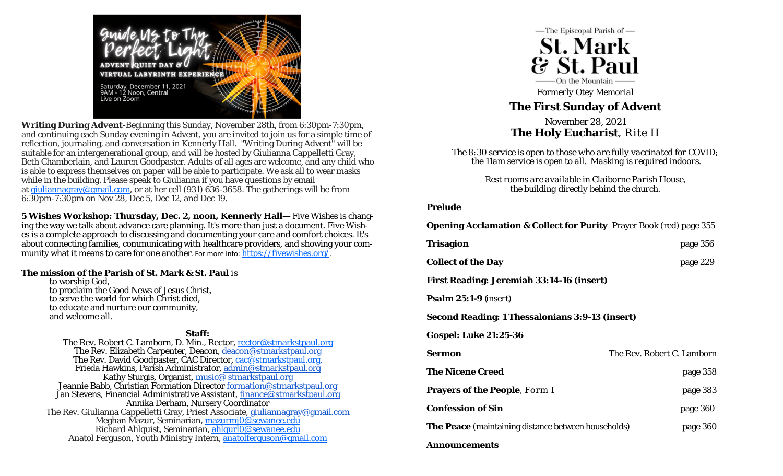

**Writing During Advent-**Beginning this Sunday, November 28th, from 6:30pm-7:30pm, and continuing each Sunday evening in Advent, you are invited to join us for a simple time of reflection, journaling, and conversation in Kennerly Hall. "Writing During Advent" will be suitable for an intergenerational group, and will be hosted by Giulianna Cappelletti Gray, Beth Chamberlain, and Lauren Goodpaster. Adults of all ages are welcome, and any child who is able to express themselves on paper will be able to participate. We ask all to wear masks while in the building. Please speak to Giulianna if you have questions by email at giuliannagray@gmail.com, or at her cell (931) 636-3658. The gatherings will be from 6:30pm-7:30pm on Nov 28, Dec 5, Dec 12, and Dec 19.

**5 Wishes Workshop: Thursday, Dec. 2, noon, Kennerly Hall—** *Five Wishes* is changing the way we talk about advance care planning. It's more than just a document. *Five Wishes* is a complete approach to discussing and documenting your care and comfort choices. It's about connecting families, communicating with healthcare providers, and showing your community what it means to care for one another. For more info: https://fivewishes.org/.

### **The mission of the Parish of St. Mark & St. Paul** is

to worship God, to proclaim the Good News of Jesus Christ, to serve the world for which Christ died, to educate and nurture our community, and welcome all.

### **Staff:**

The Rev. Robert C. Lamborn, D. Min., Rector, rector@stmarkstpaul.org The Rev. Elizabeth Carpenter, Deacon, deacon@stmarkstpaul.org The Rev. David Goodpaster, CAC Director, cac@stmarkstpaul.org, Frieda Hawkins, Parish Administrator, admin@stmarkstpaul.org Kathy Sturgis, Organist, <u>music@ stmarkstpaul.org</u> Jeannie Babb, Christian Formation Director <u>formation@stmarkstpaul.org</u> Jan Stevens, Financial Administrative Assistant, finance@stmarkstpaul.org Annika Derham, Nursery Coordinator The Rev. Giulianna Cappelletti Gray, Priest Associate, <u>giuliannagray@gmail.com</u> Meghan Mazur, Seminarian, <u>mazurmj0@sewanee.edu</u> Richard Ahlquist, Seminarian, <u>ahlqurl0@sewanee.edu</u> Anatol Ferguson, Youth Ministry Intern, anatolferguson@gmail.com



*Formerly Otey Memorial* 

# **The First Sunday of Advent**

November 28, 2021 **The Holy Eucharist**, Rite II

*The 8:30 service is open to those who are fully vaccinated for COVID; the 11am service is open to all. Masking is required indoors.* 

> *Rest rooms are available in Claiborne Parish House, the building directly behind the church.*

#### **Prelude**

**Opening Acclamation & Collect for Purity** Prayer Book (red) page 355

| Trisagion                                                  | page 356                   |
|------------------------------------------------------------|----------------------------|
| <b>Collect of the Day</b>                                  | page 229                   |
| <b>First Reading: Jeremiah 33:14-16 (insert)</b>           |                            |
| <b>Psalm 25:1-9</b> <i>(insert)</i>                        |                            |
| Second Reading: 1 Thessalonians 3:9-13 <i>(insert)</i>     |                            |
| <b>Gospel: Luke 21:25-36</b>                               |                            |
| Sermon                                                     | The Rev. Robert C. Lamborn |
| <b>The Nicene Creed</b>                                    | page 358                   |
| <b>Prayers of the People, Form I</b>                       | page 383                   |
| <b>Confession of Sin</b>                                   | page 360                   |
| <b>The Peace</b> (maintaining distance between households) | page 360                   |
| Announcements                                              |                            |